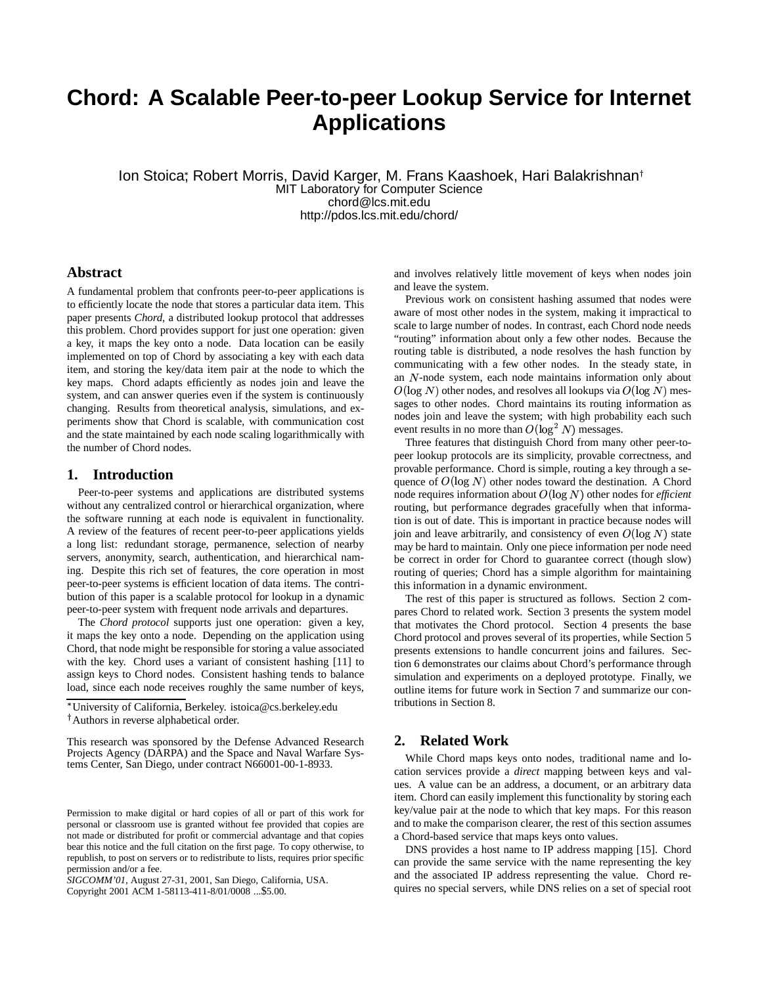# **Chord: A Scalable Peer-to-peer Lookup Service for Internet Applications**

lon Stoica; Robert Morris, David Karger, M. Frans Kaashoek, Hari Balakrishnan<sup>†</sup> MIT Laboratory for Computer Science chord@lcs.mit.edu http://pdos.lcs.mit.edu/chord/

#### **Abstract**

A fundamental problem that confronts peer-to-peer applications is to efficiently locate the node that stores a particular data item. This paper presents *Chord*, a distributed lookup protocol that addresses this problem. Chord provides support for just one operation: given a key, it maps the key onto a node. Data location can be easily implemented on top of Chord by associating a key with each data item, and storing the key/data item pair at the node to which the key maps. Chord adapts efficiently as nodes join and leave the system, and can answer queries even if the system is continuously changing. Results from theoretical analysis, simulations, and experiments show that Chord is scalable, with communication cost and the state maintained by each node scaling logarithmically with the number of Chord nodes.

#### **1. Introduction**

Peer-to-peer systems and applications are distributed systems without any centralized control or hierarchical organization, where the software running at each node is equivalent in functionality. A review of the features of recent peer-to-peer applications yields a long list: redundant storage, permanence, selection of nearby servers, anonymity, search, authentication, and hierarchical naming. Despite this rich set of features, the core operation in most peer-to-peer systems is efficient location of data items. The contribution of this paper is a scalable protocol for lookup in a dynamic peer-to-peer system with frequent node arrivals and departures.

The *Chord protocol* supports just one operation: given a key, it maps the key onto a node. Depending on the application using Chord, that node might be responsible for storing a value associated with the key. Chord uses a variant of consistent hashing [11] to assign keys to Chord nodes. Consistent hashing tends to balance load, since each node receives roughly the same number of keys,

This research was sponsored by the Defense Advanced Research Projects Agency (DARPA) and the Space and Naval Warfare Systems Center, San Diego, under contract N66001-00-1-8933.

*SIGCOMM'01,* August 27-31, 2001, San Diego, California, USA. Copyright 2001 ACM 1-58113-411-8/01/0008 ...\$5.00.

and involves relatively little movement of keys when nodes join and leave the system.

Previous work on consistent hashing assumed that nodes were aware of most other nodes in the system, making it impractical to scale to large number of nodes. In contrast, each Chord node needs "routing" information about only a few other nodes. Because the routing table is distributed, a node resolves the hash function by communicating with a few other nodes. In the steady state, in an  $N$ -node system, each node maintains information only about  $O(\log N)$  other nodes, and resolves all lookups via  $O(\log N)$  messages to other nodes. Chord maintains its routing information as nodes join and leave the system; with high probability each such event results in no more than  $O(\log^2 N)$  messages.

Three features that distinguish Chord from many other peer-topeer lookup protocols are its simplicity, provable correctness, and provable performance. Chord is simple, routing a key through a sequence of  $O(\log N)$  other nodes toward the destination. A Chord node requires information about  $O(\log N)$  other nodes for *efficient* routing, but performance degrades gracefully when that information is out of date. This is important in practice because nodes will join and leave arbitrarily, and consistency of even  $O(\log N)$  state may be hard to maintain. Only one piece information per node need be correct in order for Chord to guarantee correct (though slow) routing of queries; Chord has a simple algorithm for maintaining this information in a dynamic environment.

The rest of this paper is structured as follows. Section 2 compares Chord to related work. Section 3 presents the system model that motivates the Chord protocol. Section 4 presents the base Chord protocol and proves several of its properties, while Section 5 presents extensions to handle concurrent joins and failures. Section 6 demonstrates our claims about Chord's performance through simulation and experiments on a deployed prototype. Finally, we outline items for future work in Section 7 and summarize our contributions in Section 8.

# **2. Related Work**

While Chord maps keys onto nodes, traditional name and location services provide a *direct* mapping between keys and values. A value can be an address, a document, or an arbitrary data item. Chord can easily implement this functionality by storing each key/value pair at the node to which that key maps. For this reason and to make the comparison clearer, the rest of this section assumes a Chord-based service that maps keys onto values.

DNS provides a host name to IP address mapping [15]. Chord can provide the same service with the name representing the key and the associated IP address representing the value. Chord requires no special servers, while DNS relies on a set of special root

University of California, Berkeley. istoica@cs.berkeley.edu

<sup>&</sup>lt;sup>†</sup> Authors in reverse alphabetical order.

Permission to make digital or hard copies of all or part of this work for personal or classroom use is granted without fee provided that copies are not made or distributed for profit or commercial advantage and that copies bear this notice and the full citation on the first page. To copy otherwise, to republish, to post on servers or to redistribute to lists, requires prior specific permission and/or a fee.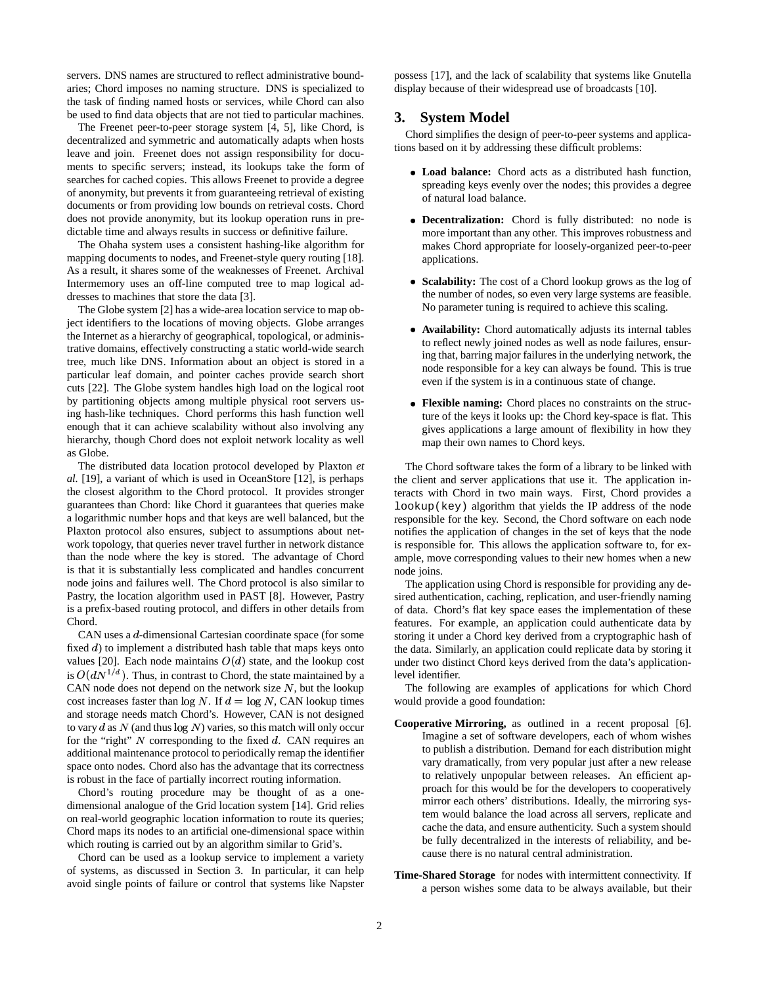servers. DNS names are structured to reflect administrative boundaries; Chord imposes no naming structure. DNS is specialized to the task of finding named hosts or services, while Chord can also be used to find data objects that are not tied to particular machines.

The Freenet peer-to-peer storage system [4, 5], like Chord, is decentralized and symmetric and automatically adapts when hosts leave and join. Freenet does not assign responsibility for documents to specific servers; instead, its lookups take the form of searches for cached copies. This allows Freenet to provide a degree of anonymity, but prevents it from guaranteeing retrieval of existing documents or from providing low bounds on retrieval costs. Chord does not provide anonymity, but its lookup operation runs in predictable time and always results in success or definitive failure.

The Ohaha system uses a consistent hashing-like algorithm for mapping documents to nodes, and Freenet-style query routing [18]. As a result, it shares some of the weaknesses of Freenet. Archival Intermemory uses an off-line computed tree to map logical addresses to machines that store the data [3].

The Globe system [2] has a wide-area location service to map object identifiers to the locations of moving objects. Globe arranges the Internet as a hierarchy of geographical, topological, or administrative domains, effectively constructing a static world-wide search tree, much like DNS. Information about an object is stored in a particular leaf domain, and pointer caches provide search short cuts [22]. The Globe system handles high load on the logical root by partitioning objects among multiple physical root servers using hash-like techniques. Chord performs this hash function well enough that it can achieve scalability without also involving any hierarchy, though Chord does not exploit network locality as well as Globe.

The distributed data location protocol developed by Plaxton *et al.* [19], a variant of which is used in OceanStore [12], is perhaps the closest algorithm to the Chord protocol. It provides stronger guarantees than Chord: like Chord it guarantees that queries make a logarithmic number hops and that keys are well balanced, but the Plaxton protocol also ensures, subject to assumptions about network topology, that queries never travel further in network distance than the node where the key is stored. The advantage of Chord is that it is substantially less complicated and handles concurrent node joins and failures well. The Chord protocol is also similar to Pastry, the location algorithm used in PAST [8]. However, Pastry is a prefix-based routing protocol, and differs in other details from Chord.

CAN uses a d-dimensional Cartesian coordinate space (for some fixed  $d$ ) to implement a distributed hash table that maps keys onto values [20]. Each node maintains  $O(d)$  state, and the lookup cost is  $O(dN^{1/d})$ . Thus, in contrast to Chord, the state maintained by a CAN node does not depend on the network size  $N$ , but the lookup cost increases faster than  $\log N$ . If  $d = \log N$ , CAN lookup times and storage needs match Chord's. However, CAN is not designed to vary  $d$  as  $N$  (and thus  $log N$ ) varies, so this match will only occur for the "right"  $N$  corresponding to the fixed  $d$ . CAN requires an additional maintenance protocol to periodically remap the identifier space onto nodes. Chord also has the advantage that its correctness is robust in the face of partially incorrect routing information.

Chord's routing procedure may be thought of as a onedimensional analogue of the Grid location system [14]. Grid relies on real-world geographic location information to route its queries; Chord maps its nodes to an artificial one-dimensional space within which routing is carried out by an algorithm similar to Grid's.

Chord can be used as a lookup service to implement a variety of systems, as discussed in Section 3. In particular, it can help avoid single points of failure or control that systems like Napster

possess [17], and the lack of scalability that systems like Gnutella display because of their widespread use of broadcasts [10].

#### **3. System Model**

Chord simplifies the design of peer-to-peer systems and applications based on it by addressing these difficult problems:

- **Load balance:** Chord acts as a distributed hash function, spreading keys evenly over the nodes; this provides a degree of natural load balance.
- **Decentralization:** Chord is fully distributed: no node is more important than any other. This improves robustness and makes Chord appropriate for loosely-organized peer-to-peer applications.
- **Scalability:** The cost of a Chord lookup grows as the log of the number of nodes, so even very large systems are feasible. No parameter tuning is required to achieve this scaling.
- **Availability:** Chord automatically adjusts its internal tables to reflect newly joined nodes as well as node failures, ensuring that, barring major failures in the underlying network, the node responsible for a key can always be found. This is true even if the system is in a continuous state of change.
- **Flexible naming:** Chord places no constraints on the structure of the keys it looks up: the Chord key-space is flat. This gives applications a large amount of flexibility in how they map their own names to Chord keys.

The Chord software takes the form of a library to be linked with the client and server applications that use it. The application interacts with Chord in two main ways. First, Chord provides a lookup(key) algorithm that yields the IP address of the node responsible for the key. Second, the Chord software on each node notifies the application of changes in the set of keys that the node is responsible for. This allows the application software to, for example, move corresponding values to their new homes when a new node joins.

The application using Chord is responsible for providing any desired authentication, caching, replication, and user-friendly naming of data. Chord's flat key space eases the implementation of these features. For example, an application could authenticate data by storing it under a Chord key derived from a cryptographic hash of the data. Similarly, an application could replicate data by storing it under two distinct Chord keys derived from the data's applicationlevel identifier.

The following are examples of applications for which Chord would provide a good foundation:

**Cooperative Mirroring,** as outlined in a recent proposal [6]. Imagine a set of software developers, each of whom wishes to publish a distribution. Demand for each distribution might vary dramatically, from very popular just after a new release to relatively unpopular between releases. An efficient approach for this would be for the developers to cooperatively mirror each others' distributions. Ideally, the mirroring system would balance the load across all servers, replicate and cache the data, and ensure authenticity. Such a system should be fully decentralized in the interests of reliability, and because there is no natural central administration.

**Time-Shared Storage** for nodes with intermittent connectivity. If a person wishes some data to be always available, but their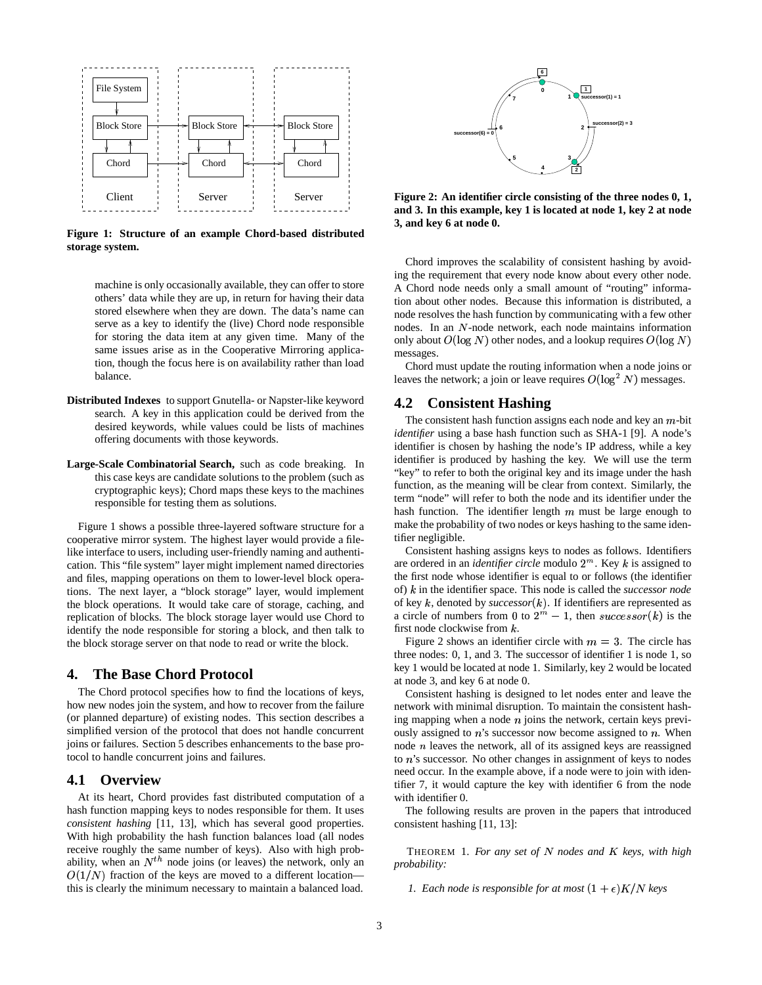

**Figure 1: Structure of an example Chord-based distributed storage system.**

machine is only occasionally available, they can offer to store others' data while they are up, in return for having their data stored elsewhere when they are down. The data's name can serve as a key to identify the (live) Chord node responsible for storing the data item at any given time. Many of the same issues arise as in the Cooperative Mirroring application, though the focus here is on availability rather than load balance.

- **Distributed Indexes** to support Gnutella- or Napster-like keyword search. A key in this application could be derived from the desired keywords, while values could be lists of machines offering documents with those keywords.
- **Large-Scale Combinatorial Search,** such as code breaking. In this case keys are candidate solutions to the problem (such as cryptographic keys); Chord maps these keys to the machines responsible for testing them as solutions.

Figure 1 shows a possible three-layered software structure for a cooperative mirror system. The highest layer would provide a filelike interface to users, including user-friendly naming and authentication. This "file system" layer might implement named directories and files, mapping operations on them to lower-level block operations. The next layer, a "block storage" layer, would implement the block operations. It would take care of storage, caching, and replication of blocks. The block storage layer would use Chord to identify the node responsible for storing a block, and then talk to the block storage server on that node to read or write the block.

#### **4. The Base Chord Protocol**

The Chord protocol specifies how to find the locations of keys, how new nodes join the system, and how to recover from the failure (or planned departure) of existing nodes. This section describes a simplified version of the protocol that does not handle concurrent joins or failures. Section 5 describes enhancements to the base protocol to handle concurrent joins and failures.

#### **4.1 Overview**

At its heart, Chord provides fast distributed computation of a hash function mapping keys to nodes responsible for them. It uses *consistent hashing* [11, 13], which has several good properties. With high probability the hash function balances load (all nodes receive roughly the same number of keys). Also with high probability, when an  $N^{th}$  node joins (or leaves) the network, only an  $O(1/N)$  fraction of the keys are moved to a different location this is clearly the minimum necessary to maintain a balanced load.



**Figure 2: An identifier circle consisting of the three nodes 0, 1, and 3. In this example, key 1 is located at node 1, key 2 at node 3, and key 6 at node 0.**

Chord improves the scalability of consistent hashing by avoiding the requirement that every node know about every other node. A Chord node needs only a small amount of "routing" information about other nodes. Because this information is distributed, a node resolves the hash function by communicating with a few other nodes. In an  $N$ -node network, each node maintains information only about  $O(\log N)$  other nodes, and a lookup requires  $O(\log N)$ messages.

Chord must update the routing information when a node joins or leaves the network; a join or leave requires  $O(\log^2 N)$  messages.

# **4.2 Consistent Hashing**

The consistent hash function assigns each node and key an  $m$ -bit *identifier* using a base hash function such as SHA-1 [9]. A node's identifier is chosen by hashing the node's IP address, while a key identifier is produced by hashing the key. We will use the term "key" to refer to both the original key and its image under the hash function, as the meaning will be clear from context. Similarly, the term "node" will refer to both the node and its identifier under the hash function. The identifier length  $m$  must be large enough to make the probability of two nodes or keys hashing to the same identifier negligible.

Consistent hashing assigns keys to nodes as follows. Identifiers are ordered in an *identifier circle* modulo  $2^m$ . Key  $k$  is assigned to the first node whose identifier is equal to or follows (the identifier of) in the identifier space. This node is called the *successor node* of key  $k$ , denoted by *successor*( $k$ ). If identifiers are represented as a circle of numbers from 0 to  $2^m - 1$ , then successor(k) is the first node clockwise from  $k$ .

Figure 2 shows an identifier circle with  $m = 3$ . The circle has three nodes: 0, 1, and 3. The successor of identifier 1 is node 1, so key 1 would be located at node 1. Similarly, key 2 would be located at node 3, and key 6 at node 0.

Consistent hashing is designed to let nodes enter and leave the network with minimal disruption. To maintain the consistent hashing mapping when a node  $n$  joins the network, certain keys previously assigned to  $n$ 's successor now become assigned to  $n$ . When node  $n$  leaves the network, all of its assigned keys are reassigned to  $n$ 's successor. No other changes in assignment of keys to nodes need occur. In the example above, if a node were to join with identifier 7, it would capture the key with identifier 6 from the node with identifier 0.

The following results are proven in the papers that introduced consistent hashing [11, 13]:

THEOREM 1. *For any set of* N nodes and K keys, with high *probability:*

*1.* Each node is responsible for at most  $(1 + \epsilon)K/N$  keys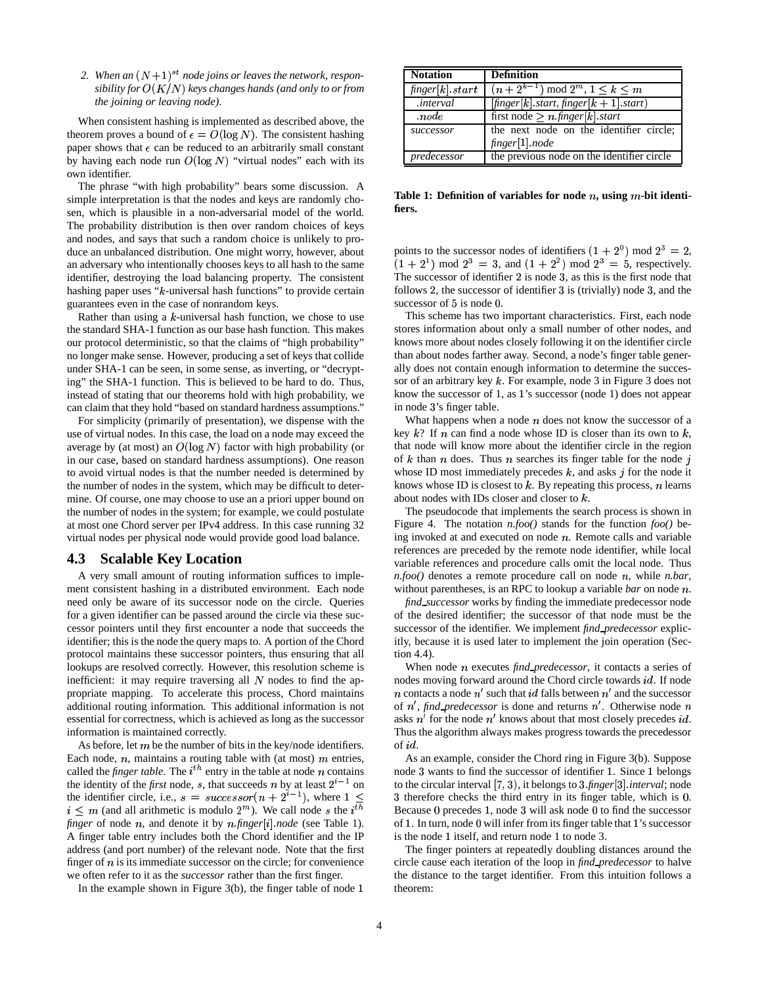2. When an  $(N+1)^{st}$  node joins or leaves the network, respon $s$ *ibility* for  $O(K/N)$  keys changes hands (and only to or from *the joining or leaving node).*

When consistent hashing is implemented as described above, the theorem proves a bound of  $\epsilon = O(\log N)$ . The consistent hashing paper shows that  $\epsilon$  can be reduced to an arbitrarily small constant by having each node run  $O(\log N)$  "virtual nodes" each with its own identifier.

The phrase "with high probability" bears some discussion. A simple interpretation is that the nodes and keys are randomly chosen, which is plausible in a non-adversarial model of the world. The probability distribution is then over random choices of keys and nodes, and says that such a random choice is unlikely to produce an unbalanced distribution. One might worry, however, about an adversary who intentionally chooses keys to all hash to the same identifier, destroying the load balancing property. The consistent hashing paper uses " $k$ -universal hash functions" to provide certain guarantees even in the case of nonrandom keys.

Rather than using a  $k$ -universal hash function, we chose to use the standard SHA-1 function as our base hash function. This makes our protocol deterministic, so that the claims of "high probability" no longer make sense. However, producing a set of keys that collide under SHA-1 can be seen, in some sense, as inverting, or "decrypting" the SHA-1 function. This is believed to be hard to do. Thus, instead of stating that our theorems hold with high probability, we can claim that they hold "based on standard hardness assumptions."

For simplicity (primarily of presentation), we dispense with the use of virtual nodes. In this case, the load on a node may exceed the average by (at most) an  $O(\log N)$  factor with high probability (or in our case, based on standard hardness assumptions). One reason to avoid virtual nodes is that the number needed is determined by the number of nodes in the system, which may be difficult to determine. Of course, one may choose to use an a priori upper bound on the number of nodes in the system; for example, we could postulate at most one Chord server per IPv4 address. In this case running 32 virtual nodes per physical node would provide good load balance.

#### **4.3 Scalable Key Location**

A very small amount of routing information suffices to implement consistent hashing in a distributed environment. Each node need only be aware of its successor node on the circle. Queries for a given identifier can be passed around the circle via these successor pointers until they first encounter a node that succeeds the identifier; this is the node the query maps to. A portion of the Chord protocol maintains these successor pointers, thus ensuring that all lookups are resolved correctly. However, this resolution scheme is inefficient: it may require traversing all  $N$  nodes to find the appropriate mapping. To accelerate this process, Chord maintains additional routing information. This additional information is not essential for correctness, which is achieved as long as the successor information is maintained correctly.

As before, let  $m$  be the number of bits in the key/node identifiers. Each node,  $n$ , maintains a routing table with (at most)  $m$  entries, called the *finger table*. The  $i^{th}$  entry in the table at node  $n$  contains the identity of the *first* node, s, that succeeds n by at least  $2^{i-1}$  on the identifier circle, i.e.,  $s = successor(n + 2^{i-1})$ , where  $1 \leq 3$  there  $i \leq m$  (and all arithmetic is modulo  $2^m$ ). We call node s the  $i^{th}$ *finger* of node  $n$ , and denote it by  $n$  *finger* [i] *node* (see Table 1). A finger table entry includes both the Chord identifier and the IP address (and port number) of the relevant node. Note that the first finger of  $n$  is its immediate successor on the circle; for convenience we often refer to it as the *successor* rather than the first finger.

In the example shown in Figure  $3(b)$ , the finger table of node 1

| <b>Notation</b> | <b>Definition</b>                                                      |
|-----------------|------------------------------------------------------------------------|
| finger[k] start | $\overline{(n+2^{k-1}) \bmod 2^m}, 1 \leq k \leq m$                    |
| interval        | $[\text{finger}[k] \text{.} start, \text{finger}[k+1] \text{.} start)$ |
| node            | first node $\geq n$ finger[k] start                                    |
| successor       | the next node on the identifier circle;                                |
|                 | finger[1] node                                                         |
| predecessor     | the previous node on the identifier circle                             |

**Table 1: Definition** of **variables** for node  $n$ , **using**  $m$ -bit **identifiers.**

points to the successor nodes of identifiers  $(1 + 2^0)$  mod  $2^3 = 2$ ,  $(1 + 2<sup>1</sup>)$  mod  $2<sup>3</sup> = 3$ , and  $(1 + 2<sup>2</sup>)$  mod  $2<sup>3</sup> = 5$ , respectively. The successor of identifier 2 is node 3, as this is the first node that follows 2, the successor of identifier 3 is (trivially) node 3, and the successor of 5 is node 0.

This scheme has two important characteristics. First, each node stores information about only a small number of other nodes, and knows more about nodes closely following it on the identifier circle than about nodes farther away. Second, a node's finger table generally does not contain enough information to determine the successor of an arbitrary key  $k$ . For example, node 3 in Figure 3 does not know the successor of 1, as 's successor (node 1) does not appear in node 3's finger table.

What happens when a node  $n$  does not know the successor of a key  $k$ ? If  $n$  can find a node whose ID is closer than its own to  $k$ , that node will know more about the identifier circle in the region of  $k$  than  $n$  does. Thus  $n$  searches its finger table for the node  $j$ whose ID most immediately precedes  $k$ , and asks  $j$  for the node it knows whose ID is closest to  $k$ . By repeating this process,  $n$  learns about nodes with IDs closer and closer to  $k$ .

The pseudocode that implements the search process is shown in Figure 4. The notation *n.foo()* stands for the function *foo()* being invoked at and executed on node  $n$ . Remote calls and variable references are preceded by the remote node identifier, while local variable references and procedure calls omit the local node. Thus  $n.foo()$  denotes a remote procedure call on node  $n$ , while  $n.bar$ , without parentheses, is an RPC to lookup a variable *bar* on node n.

*find successor* works by finding the immediate predecessor node of the desired identifier; the successor of that node must be the successor of the identifier. We implement *find predecessor* explicitly, because it is used later to implement the join operation (Section 4.4).

When node *n* executes *find\_predecessor*, it contacts a series of nodes moving forward around the Chord circle towards *id*. If node  $n$  contacts a node  $n'$  such that  $id$  falls between  $n'$  and the successor of  $n'$ , *find\_predecessor* is done and returns  $n'$ . Otherwise node n asks  $n'$  for the node  $n'$  knows about that most closely precedes *id*. Thus the algorithm always makes progress towards the precedessor of  $id$ .

 $h$  Because 0 precedes 1, node 3 will ask node 0 to find the successor As an example, consider the Chord ring in Figure 3(b). Suppose node 3 wants to find the successor of identifier 1. Since 1 belongs to the circular interval [7, 3), it belongs to 3 *finger* [3] *interval*; node 3 therefore checks the third entry in its finger table, which is 0. of 1. In turn, node 0 will infer from its finger table that 1's successor is the node 1 itself, and return node 1 to node 3.

The finger pointers at repeatedly doubling distances around the circle cause each iteration of the loop in *find predecessor* to halve the distance to the target identifier. From this intuition follows a theorem: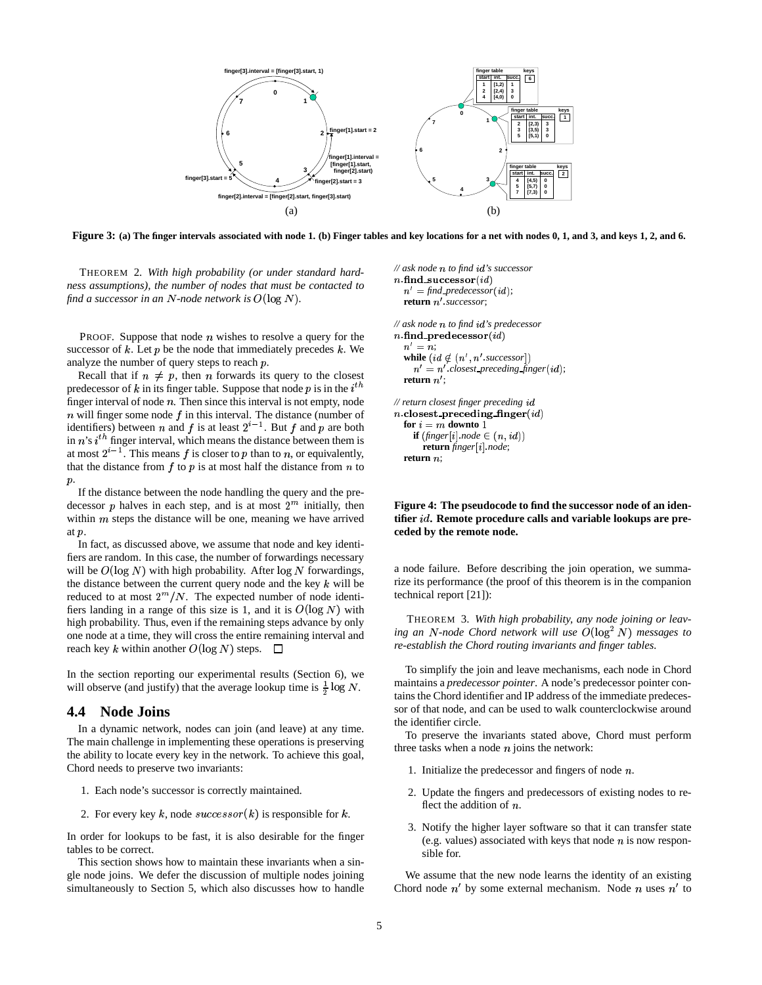

Figure 3: (a) The finger intervals associated with node 1. (b) Finger tables and key locations for a net with nodes 0, 1, and 3, and keys 1, 2, and 6.

THEOREM 2. *With high probability (or under standard hardness assumptions), the number of nodes that must be contacted to* find a successor in an  $N$ -node network is  $O(\log N)$ .

PROOF. Suppose that node  $n$  wishes to resolve a query for the successor of  $k$ . Let  $p$  be the node that immediately precedes  $k$ . We analyze the number of query steps to reach  $p$ .

Recall that if  $n \neq p$ , then *n* forwards its query to the closest predecessor of k in its finger table. Suppose that node p is in the  $i^{th}$  finger interval of node  $n$ . Then since this interval is not empty, node  $n$  will finger some node  $f$  in this interval. The distance (number of identifiers) between *n* and *f* is at least  $2^{i-1}$ . But *f* and *p* are both in n's i<sup>th</sup> finger interval, which means the distance between them is at most  $2^{i-1}$ . This means f is closer to p than to n, or equivalently, that the distance from  $f$  to  $p$  is at most half the distance from  $n$  to  $p.$ 

If the distance between the node handling the query and the predecessor p halves in each step, and is at most  $2^m$  initially, then within  $m$  steps the distance will be one, meaning we have arrived at  $p$ .

In fact, as discussed above, we assume that node and key identifiers are random. In this case, the number of forwardings necessary will be  $O(\log N)$  with high probability. After  $\log N$  forwardings, the distance between the current query node and the key  $k$  will be reduced to at most  $2^m/N$ . The expected number of node identifiers landing in a range of this size is 1, and it is  $O(\log N)$  with high probability. Thus, even if the remaining steps advance by only one node at a time, they will cross the entire remaining interval and reach key k within another  $O(\log N)$  steps.

In the section reporting our experimental results (Section 6), we will observe (and justify) that the average lookup time is  $\frac{1}{2} \log N$ .

#### **4.4 Node Joins**

In a dynamic network, nodes can join (and leave) at any time. The main challenge in implementing these operations is preserving the ability to locate every key in the network. To achieve this goal, Chord needs to preserve two invariants:

- 1. Each node's successor is correctly maintained.
- 2. For every key k, node  $successor(k)$  is responsible for k.

In order for lookups to be fast, it is also desirable for the finger tables to be correct.

This section shows how to maintain these invariants when a single node joins. We defer the discussion of multiple nodes joining simultaneously to Section 5, which also discusses how to handle

```
// ask node  to find 's successor 	

 
 n' = \text{find}\,\,\text{predecessor}(\text{id});
  return   successor;
// ask node  to find 's predecessor
```
 
 "#
!\$  $n' = n;$ **while**  $(id \notin (n', n' \text{ successor}])$  $n' \equiv n'$  *closest preceding finger*(*id*); **return**  $n'$ ;

*// return closest finger preceding* +,!- "#!/.\$10 102!!\$  $$ **if**  $(\text{finger}[i] \text{ node } \in (n, id))$  $return finger[i] node;$ return *n*:

**Figure 4: The pseudocode to find the successor node of an identifier . Remote procedure calls and variable lookups are preceded by the remote node.**

a node failure. Before describing the join operation, we summarize its performance (the proof of this theorem is in the companion technical report [21]):

THEOREM 3. *With high probability, any node joining or leav-* $\int$ *ing an N-node Chord network will use*  $O(\log^2 N)$  *messages to re-establish the Chord routing invariants and finger tables.*

 maintains a *predecessor pointer*. A node's predecessor pointer con-To simplify the join and leave mechanisms, each node in Chord tains the Chord identifier and IP address of the immediate predecessor of that node, and can be used to walk counterclockwise around the identifier circle.

To preserve the invariants stated above, Chord must perform three tasks when a node  $n$  joins the network:

- 1. Initialize the predecessor and fingers of node  $n$ .
- 2. Update the fingers and predecessors of existing nodes to reflect the addition of  $n$ .
- 3. Notify the higher layer software so that it can transfer state (e.g. values) associated with keys that node  $n$  is now responsible for.

We assume that the new node learns the identity of an existing Chord node  $n'$  by some external mechanism. Node  $n$  uses  $n'$  to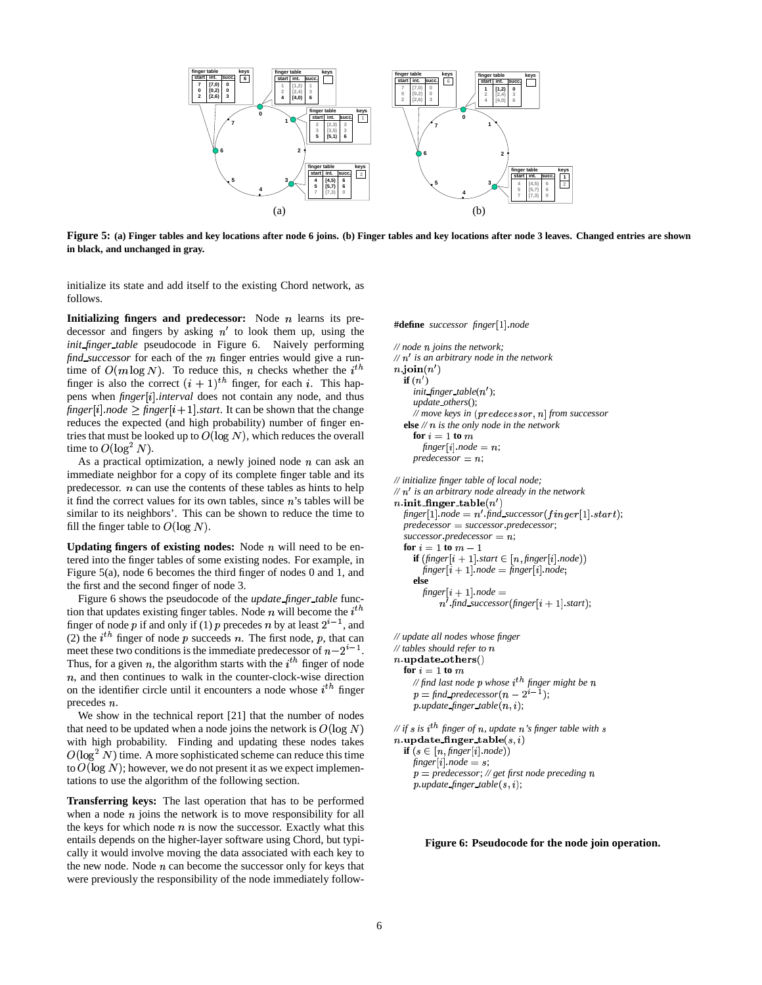

Figure 5: (a) Finger tables and key locations after node 6 joins. (b) Finger tables and key locations after node 3 leaves. Changed entries are shown **in black, and unchanged in gray.**

initialize its state and add itself to the existing Chord network, as follows.

**Initializing fingers and predecessor:** Node  $n$  learns its predecessor and fingers by asking  $n'$  to look them up, using the *init finger table* pseudocode in Figure 6. Naively performing *find\_successor* for each of the  $m$  finger entries would give a runtime of  $O(m \log N)$ . To reduce this, *n* checks whether the *i*<sup>th</sup> finger is also the correct  $(i + 1)^{th}$  finger, for each i. This happens when *finger* [*i*] *interval* does not contain any node, and thus  $finger[i]$  *node*  $\geq finger[i+1]$  *start*. It can be shown that the change reduces the expected (and high probability) number of finger entries that must be looked up to  $O(\log N)$ , which reduces the overall time to  $O(\log^2 N)$ .

As a practical optimization, a newly joined node  $n$  can ask an immediate neighbor for a copy of its complete finger table and its predecessor.  $n$  can use the contents of these tables as hints to help it find the correct values for its own tables, since  $n$ 's tables will be similar to its neighbors'. This can be shown to reduce the time to fill the finger table to  $O(\log N)$ .

**Updating fingers of existing nodes:** Node  $n$  will need to be entered into the finger tables of some existing nodes. For example, in Figure 5(a), node 6 becomes the third finger of nodes 0 and 1, and the first and the second finger of node 3.

Figure 6 shows the pseudocode of the *update finger table* function that updates existing finger tables. Node *n* will become the  $i^{th}$ finger of node p if and only if (1) p precedes n by at least  $2^{i-1}$ , and (2) the  $i^{th}$  finger of node p succeeds n. The first node, p, that can meet these two conditions is the immediate predecessor of  $n-2^{i-1}$ . Thus, for a given n, the algorithm starts with the  $i<sup>th</sup>$  finger of node  $n$ , and then continues to walk in the counter-clock-wise direction on the identifier circle until it encounters a node whose  $i<sup>th</sup>$  finger precedes  $n$ .

We show in the technical report [21] that the number of nodes that need to be updated when a node joins the network is  $O(\log N)$ with high probability. Finding and updating these nodes takes  $O(\log^2 N)$  time. A more sophisticated scheme can reduce this time to  $O(\log N)$ ; however, we do not present it as we expect implementations to use the algorithm of the following section.

**Transferring keys:** The last operation that has to be performed when a node  $n$  joins the network is to move responsibility for all the keys for which node  $n$  is now the successor. Exactly what this entails depends on the higher-layer software using Chord, but typically it would involve moving the data associated with each key to the new node. Node  $n$  can become the successor only for keys that were previously the responsibility of the node immediately follow-

#### #define *successor* finger[1] node

```
h n.join(n')// node  joins the network;
       //  is an arbitrary node in the network if(n')init\_finger\_table(n');update others();
            // move keys in (predecessor, n] from successor
          else //  is the only node in the network
            for i = 1 to mfinger[i] node = n;
            predecessor = n;// initialize finger table of local node;
```

```
\mathbf{r} . The contract of \mathbf{r}//  is an arbitrary node already in the network 	 .$#.,- 
	10! -/+  
            finger[1].node = n' find\_successor(finger[1].start);predecessor  successor  predecessor;
           successor predecessor = n;
           for i = 1 to m - 1if (\text{finger}[i+1] \cdot \text{start} \in [n, \text{finger}[i] \cdot \text{node}))(
                finger[i + 1] node = finger[i] node;else
                finger[i + 1] node =n' find successor(finger |i + 1| start);
```
*// update all nodes whose finger // tables should refer to*

 $n$  update others() **for**  $i = 1$  **to**  $m$ 

*// find last node whose* - *finger might be*  $p = \text{find\_predecessor}(n-2^{i-1});$  $p$  *update finger*  $table(n, i)$ ;

 $\mathbb{R}/\mathbb{Z}$  *if*  $s$  *is i*<sup>th</sup> finger of **n**, update **n** *'s* finger table with " - 10! -/+ ( **if**  $(s \in [n, \text{finger}[i], \text{node}))$  $finger[i]$  *node* = s;  $p = predecessor; \frac{\textit{7}}{\textit{8}}$  *predecessor*; *//* get first node preceding n p *update* finger table(s, i);

**Figure 6: Pseudocode for the node join operation.**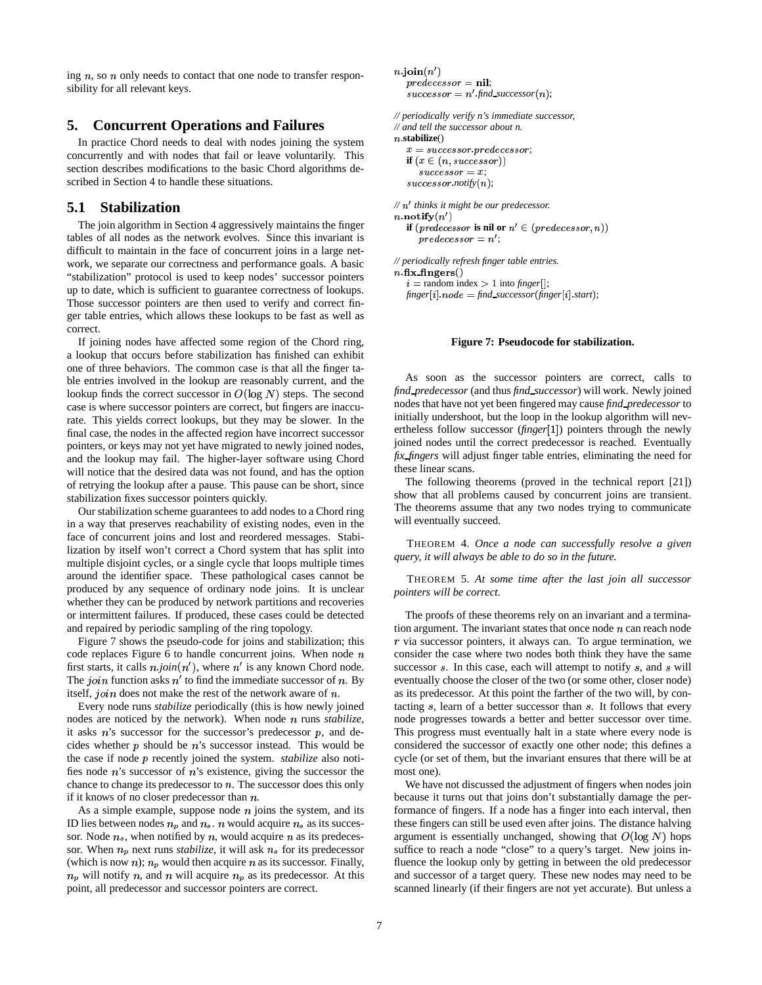ing  $n$ , so  $n$  only needs to contact that one node to transfer responsibility for all relevant keys.

#### **5. Concurrent Operations and Failures**

In practice Chord needs to deal with nodes joining the system concurrently and with nodes that fail or leave voluntarily. This section describes modifications to the basic Chord algorithms described in Section 4 to handle these situations.

# **5.1 Stabilization**

The join algorithm in Section 4 aggressively maintains the finger tables of all nodes as the network evolves. Since this invariant is difficult to maintain in the face of concurrent joins in a large network, we separate our correctness and performance goals. A basic "stabilization" protocol is used to keep nodes' successor pointers up to date, which is sufficient to guarantee correctness of lookups. Those successor pointers are then used to verify and correct finger table entries, which allows these lookups to be fast as well as correct.

If joining nodes have affected some region of the Chord ring, a lookup that occurs before stabilization has finished can exhibit one of three behaviors. The common case is that all the finger table entries involved in the lookup are reasonably current, and the lookup finds the correct successor in  $O(\log N)$  steps. The second case is where successor pointers are correct, but fingers are inaccurate. This yields correct lookups, but they may be slower. In the final case, the nodes in the affected region have incorrect successor pointers, or keys may not yet have migrated to newly joined nodes, and the lookup may fail. The higher-layer software using Chord will notice that the desired data was not found, and has the option of retrying the lookup after a pause. This pause can be short, since stabilization fixes successor pointers quickly.

Our stabilization scheme guarantees to add nodes to a Chord ring in a way that preserves reachability of existing nodes, even in the face of concurrent joins and lost and reordered messages. Stabilization by itself won't correct a Chord system that has split into multiple disjoint cycles, or a single cycle that loops multiple times around the identifier space. These pathological cases cannot be produced by any sequence of ordinary node joins. It is unclear whether they can be produced by network partitions and recoveries or intermittent failures. If produced, these cases could be detected and repaired by periodic sampling of the ring topology.

Figure 7 shows the pseudo-code for joins and stabilization; this code replaces Figure 6 to handle concurrent joins. When node  $n$ first starts, it calls  $n$  *join*( $n'$ ), where  $n'$  is any known Chord node. The *join* function asks  $n'$  to find the immediate successor of n. By itself, *join* does not make the rest of the network aware of  $n$ .

Every node runs *stabilize* periodically (this is how newly joined nodes are noticed by the network). When node  $n$  runs *stabilize*, it asks  $n$ 's successor for the successor's predecessor  $p$ , and decides whether  $p$  should be  $n$ 's successor instead. This would be the case if node p recently joined the system. *stabilize* also notifies node  $n$ 's successor of  $n$ 's existence, giving the successor the chance to change its predecessor to  $n$ . The successor does this only if it knows of no closer predecessor than  $n$ .

As a simple example, suppose node  $n$  joins the system, and its ID lies between nodes  $n_p$  and  $n_s$ . *n* would acquire  $n_s$  as its successor. Node  $n_s$ , when notified by n, would acquire n as its predecessor. When  $n_p$  next runs *stabilize*, it will ask  $n_s$  for its predecessor (which is now *n*);  $n_p$  would then acquire *n* as its successor. Finally,  $n_p$  will notify n, and n will acquire  $n_p$  as its predecessor. At this point, all predecessor and successor pointers are correct.

```
n join(n')predecessor = \mathbf{nil};successor = n' find_successor(n);
// periodically verify n's immediate successor,
// and tell the successor about n. .stabilize() x = successorچ predecessary;\textbf{if} \hspace{0.5mm} ( \hspace{0.5mm} x \in \hspace{0.5mm} (n, successor))successor = x;the contract of the contract of the contract of the contract of the contract of the contract of the contract of
    successor \mathit{notify}(n);//  thinks it might be our predecessor. n notify(n')if (\textit{predecessor is nil or } n' \in (\textit{predecessor}, n))predecessor=n';// periodically refresh finger table entries. 	

	10
```
 $i =$  random index  $> 1$  into *finger*  $\vert$ ;  $finger[i]$   $node = find$   $successor(finger[i]$   $start);$ 

#### **Figure 7: Pseudocode for stabilization.**

As soon as the successor pointers are correct, calls to *find predecessor* (and thus *find successor*) will work. Newly joined nodes that have not yet been fingered may cause *find predecessor* to initially undershoot, but the loop in the lookup algorithm will nevertheless follow successor (*finger*[1]) pointers through the newly joined nodes until the correct predecessor is reached. Eventually *fix fingers* will adjust finger table entries, eliminating the need for these linear scans.

The following theorems (proved in the technical report [21]) show that all problems caused by concurrent joins are transient. The theorems assume that any two nodes trying to communicate will eventually succeed.

THEOREM 4. *Once a node can successfully resolve a given query, it will always be able to do so in the future.*

THEOREM 5. *At some time after the last join all successor pointers will be correct.*

The proofs of these theorems rely on an invariant and a termination argument. The invariant states that once node  $n$  can reach node  $r$  via successor pointers, it always can. To argue termination, we consider the case where two nodes both think they have the same successor  $s$ . In this case, each will attempt to notify  $s$ , and  $s$  will eventually choose the closer of the two (or some other, closer node) as its predecessor. At this point the farther of the two will, by contacting  $s$ , learn of a better successor than  $s$ . It follows that every node progresses towards a better and better successor over time. This progress must eventually halt in a state where every node is considered the successor of exactly one other node; this defines a cycle (or set of them, but the invariant ensures that there will be at most one).

We have not discussed the adjustment of fingers when nodes join because it turns out that joins don't substantially damage the performance of fingers. If a node has a finger into each interval, then these fingers can still be used even after joins. The distance halving argument is essentially unchanged, showing that  $O(\log N)$  hops suffice to reach a node "close" to a query's target. New joins influence the lookup only by getting in between the old predecessor and successor of a target query. These new nodes may need to be scanned linearly (if their fingers are not yet accurate). But unless a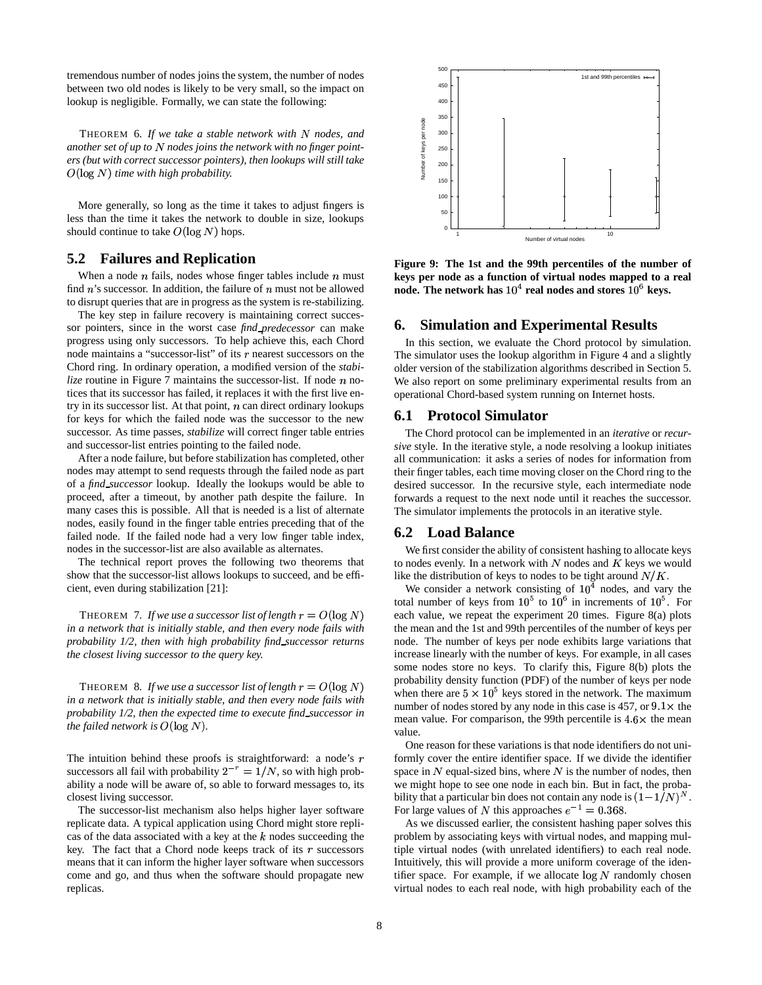tremendous number of nodes joins the system, the number of nodes between two old nodes is likely to be very small, so the impact on lookup is negligible. Formally, we can state the following:

THEOREM 6. *If we take a stable network with* - *nodes, and another set of up to* - *nodes joins the network with no finger pointers (but with correct successor pointers), then lookups will still take*  $O(\log N)$  time with high probability.

More generally, so long as the time it takes to adjust fingers is less than the time it takes the network to double in size, lookups should continue to take  $O(\log N)$  hops.

#### **5.2 Failures and Replication**

When a node  $n$  fails, nodes whose finger tables include  $n$  must find  $n$ 's successor. In addition, the failure of  $n$  must not be allowed to disrupt queries that are in progress as the system is re-stabilizing.

The key step in failure recovery is maintaining correct successor pointers, since in the worst case *find predecessor* can make progress using only successors. To help achieve this, each Chord node maintains a "successor-list" of its  $r$  nearest successors on the Chord ring. In ordinary operation, a modified version of the *stabilize* routine in Figure 7 maintains the successor-list. If node  $n$  notices that its successor has failed, it replaces it with the first live entry in its successor list. At that point,  $n$  can direct ordinary lookups for keys for which the failed node was the successor to the new successor. As time passes, *stabilize* will correct finger table entries and successor-list entries pointing to the failed node.

After a node failure, but before stabilization has completed, other nodes may attempt to send requests through the failed node as part of a *find successor* lookup. Ideally the lookups would be able to proceed, after a timeout, by another path despite the failure. In many cases this is possible. All that is needed is a list of alternate nodes, easily found in the finger table entries preceding that of the failed node. If the failed node had a very low finger table index, nodes in the successor-list are also available as alternates.

The technical report proves the following two theorems that show that the successor-list allows lookups to succeed, and be efficient, even during stabilization [21]:

THEOREM 7. *If we use a successor list of length*  $r = O(\log N)$ *in a network that is initially stable, and then every node fails with probability 1/2, then with high probability find successor returns the closest living successor to the query key.*

THEOREM  $8.$  *If we use a successor list of length*  $r = O(\log N)$ *in a network that is initially stable, and then every node fails with probability 1/2, then the expected time to execute find successor in the failed network is*  $O(\log N)$ *.* 

The intuition behind these proofs is straightforward: a node's  $r$ successors all fail with probability  $2^{-r} = 1/N$ , so with high probability a node will be aware of, so able to forward messages to, its closest living successor.

The successor-list mechanism also helps higher layer software replicate data. A typical application using Chord might store replicas of the data associated with a key at the  $k$  nodes succeeding the key. The fact that a Chord node keeps track of its  $r$  successors means that it can inform the higher layer software when successors come and go, and thus when the software should propagate new replicas.



**Figure 9: The 1st and the 99th percentiles of the number of keys per node as a function of virtual nodes mapped to a real**  $\boldsymbol{\mu}$  node. The  $\boldsymbol{\mu}$  network has  $10^4$  real  $\boldsymbol{\mu}$  nodes and stores  $10^6$  keys.

#### **6. Simulation and Experimental Results**

In this section, we evaluate the Chord protocol by simulation. The simulator uses the lookup algorithm in Figure 4 and a slightly older version of the stabilization algorithms described in Section 5. We also report on some preliminary experimental results from an operational Chord-based system running on Internet hosts.

#### **6.1 Protocol Simulator**

The Chord protocol can be implemented in an *iterative* or *recursive* style. In the iterative style, a node resolving a lookup initiates all communication: it asks a series of nodes for information from their finger tables, each time moving closer on the Chord ring to the desired successor. In the recursive style, each intermediate node forwards a request to the next node until it reaches the successor. The simulator implements the protocols in an iterative style.

#### **6.2 Load Balance**

We first consider the ability of consistent hashing to allocate keys to nodes evenly. In a network with  $N$  nodes and  $K$  keys we would like the distribution of keys to nodes to be tight around  $N/K$ .

 each value, we repeat the experiment 20 times. Figure 8(a) plots probability density function (PDF) of the number of keys per node We consider a network consisting of  $10<sup>4</sup>$  nodes, and vary the total number of keys from  $10^5$  to  $10^6$  in increments of  $10^5$ . For the mean and the 1st and 99th percentiles of the number of keys per node. The number of keys per node exhibits large variations that increase linearly with the number of keys. For example, in all cases some nodes store no keys. To clarify this, Figure 8(b) plots the when there are  $5 \times 10^5$  keys stored in the network. The maximum number of nodes stored by any node in this case is  $457$ , or  $9.1 \times$  the mean value. For comparison, the 99th percentile is  $4.6 \times$  the mean value.

One reason for these variations is that node identifiers do not uniformly cover the entire identifier space. If we divide the identifier space in  $N$  equal-sized bins, where  $N$  is the number of nodes, then we might hope to see one node in each bin. But in fact, the probability that a particular bin does not contain any node is  $(1-1/N)^N$ . For large values of N this approaches  $e^{-1} = 0.368$ .

As we discussed earlier, the consistent hashing paper solves this problem by associating keys with virtual nodes, and mapping multiple virtual nodes (with unrelated identifiers) to each real node. Intuitively, this will provide a more uniform coverage of the identifier space. For example, if we allocate  $log N$  randomly chosen virtual nodes to each real node, with high probability each of the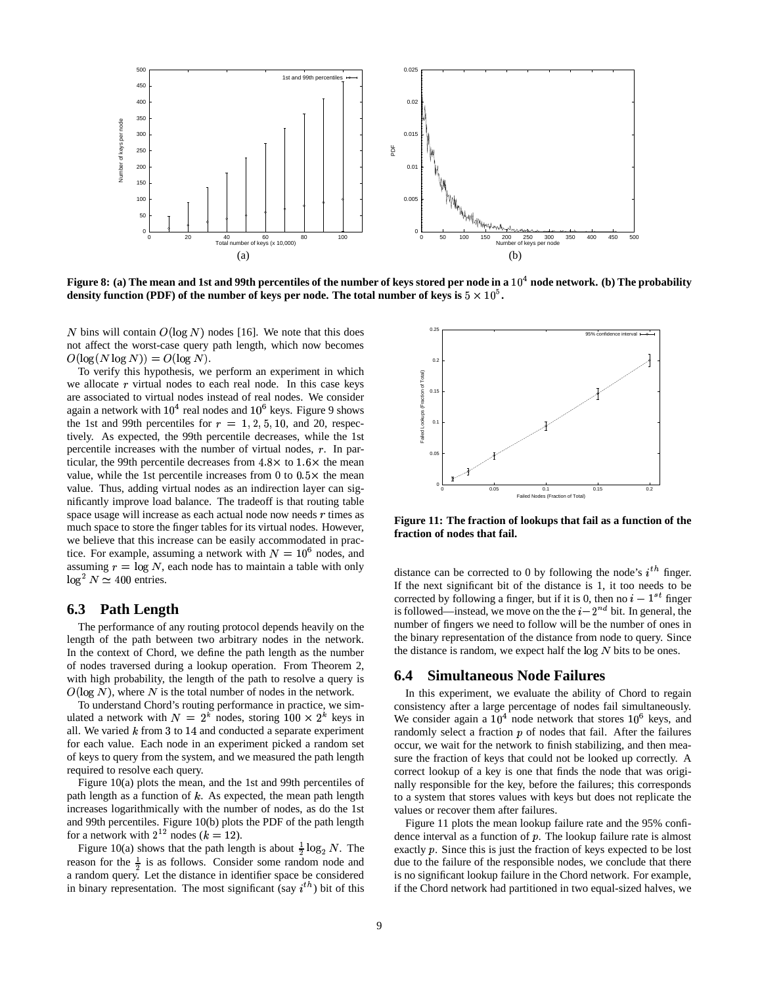

Figure 8: (a) The mean and 1st and 99th percentiles of the number of keys stored per node in a  $10^4$  node network. (b) The probability **density** function (PDF) of the number of keys per node. The total number of keys is  $5\times10^5.$ 

N bins will contain  $O(\log N)$  nodes [16]. We note that this does not affect the worst-case query path length, which now becomes  $O(\log(N \log N)) = O(\log N)$ .

To verify this hypothesis, we perform an experiment in which we allocate  $r$  virtual nodes to each real node. In this case keys are associated to virtual nodes instead of real nodes. We consider again a network with  $10^4$  real nodes and  $10^6$  keys. Figure 9 shows the 1st and 99th percentiles for  $r = 1, 2, 5, 10$ , and 20, respectively. As expected, the 99th percentile decreases, while the 1st percentile increases with the number of virtual nodes,  $r$ . In particular, the 99th percentile decreases from  $4.8 \times$  to  $1.6 \times$  the mean value, while the 1st percentile increases from 0 to  $0.5 \times$  the mean value. Thus, adding virtual nodes as an indirection layer can significantly improve load balance. The tradeoff is that routing table space usage will increase as each actual node now needs  $r$  times as much space to store the finger tables for its virtual nodes. However, we believe that this increase can be easily accommodated in practice. For example, assuming a network with  $N = 10^6$  nodes, and assuming  $r = \log N$ , each node has to maintain a table with only  $\log^2 N \simeq 400$  entries.

#### **6.3 Path Length**

The performance of any routing protocol depends heavily on the length of the path between two arbitrary nodes in the network. In the context of Chord, we define the path length as the number of nodes traversed during a lookup operation. From Theorem 2, with high probability, the length of the path to resolve a query is  $O(\log N)$ , where N is the total number of nodes in the network.

To understand Chord's routing performance in practice, we simulated a network with  $N = 2<sup>k</sup>$  nodes, storing  $100 \times 2<sup>k</sup>$  keys in all. We varied  $k$  from 3 to 14 and conducted a separate experiment for each value. Each node in an experiment picked a random set of keys to query from the system, and we measured the path length required to resolve each query.

Figure 10(a) plots the mean, and the 1st and 99th percentiles of path length as a function of  $k$ . As expected, the mean path length increases logarithmically with the number of nodes, as do the 1st and 99th percentiles. Figure 10(b) plots the PDF of the path length for a network with  $2^{12}$  nodes  $(k = 12)$ .

Figure 10(a) shows that the path length is about  $\frac{1}{2} \log_2 N$ . The reason for the  $\frac{1}{2}$  is as follows. Consider some random node and a random query. Let the distance in identifier space be considered in binary representation. The most significant (say  $i^{th}$ ) bit of this



**Figure 11: The fraction of lookups that fail as a function of the fraction of nodes that fail.**

distance can be corrected to 0 by following the node's  $i<sup>th</sup>$  finger. If the next significant bit of the distance is 1, it too needs to be corrected by following a finger, but if it is 0, then no  $i - 1^{st}$  finger is followed—instead, we move on the the  $i-2^{nd}$  bit. In general, the number of fingers we need to follow will be the number of ones in the binary representation of the distance from node to query. Since the distance is random, we expect half the  $log N$  bits to be ones.

#### **6.4 Simultaneous Node Failures**

In this experiment, we evaluate the ability of Chord to regain consistency after a large percentage of nodes fail simultaneously. We consider again a  $10^4$  node network that stores  $10^6$  keys, and randomly select a fraction  $p$  of nodes that fail. After the failures occur, we wait for the network to finish stabilizing, and then measure the fraction of keys that could not be looked up correctly. A correct lookup of a key is one that finds the node that was originally responsible for the key, before the failures; this corresponds to a system that stores values with keys but does not replicate the values or recover them after failures.

Figure 11 plots the mean lookup failure rate and the 95% confidence interval as a function of  $p$ . The lookup failure rate is almost exactly  $p$ . Since this is just the fraction of keys expected to be lost due to the failure of the responsible nodes, we conclude that there is no significant lookup failure in the Chord network. For example, if the Chord network had partitioned in two equal-sized halves, we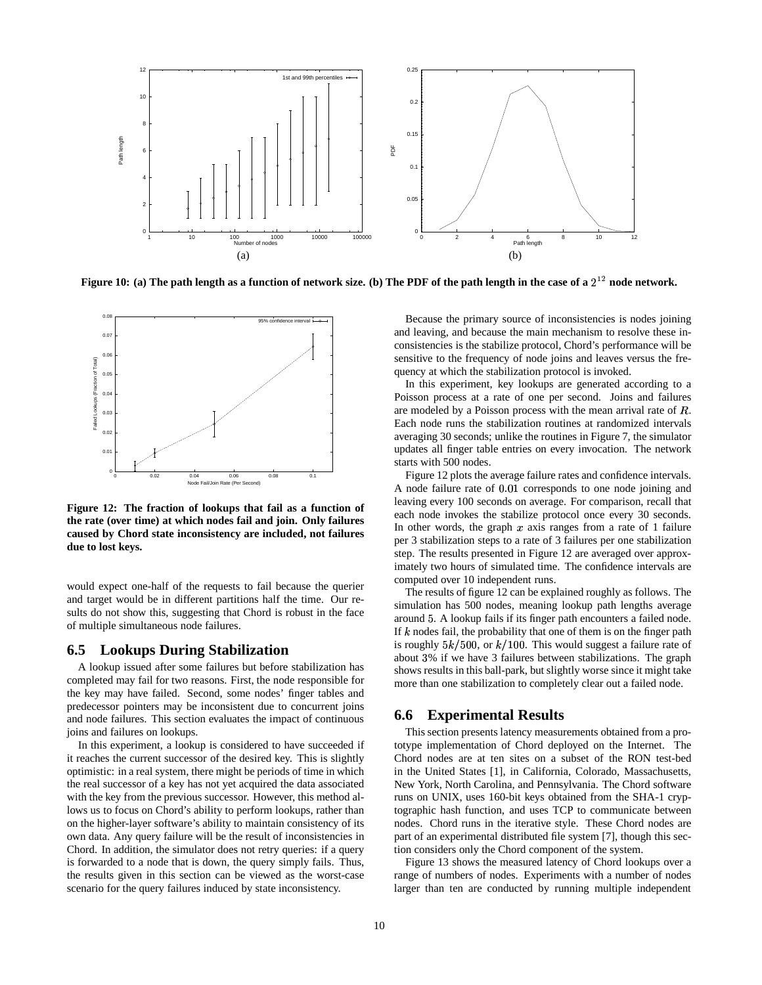

Figure 10: (a) The path length as a function of network size. (b) The PDF of the path length in the case of a  $2^{12}$  node network.



**Figure 12: The fraction of lookups that fail as a function of the rate (over time) at which nodes fail and join. Only failures caused by Chord state inconsistency are included, not failures due to lost keys.**

would expect one-half of the requests to fail because the querier and target would be in different partitions half the time. Our results do not show this, suggesting that Chord is robust in the face of multiple simultaneous node failures.

# **6.5 Lookups During Stabilization**

A lookup issued after some failures but before stabilization has completed may fail for two reasons. First, the node responsible for the key may have failed. Second, some nodes' finger tables and predecessor pointers may be inconsistent due to concurrent joins and node failures. This section evaluates the impact of continuous joins and failures on lookups.

In this experiment, a lookup is considered to have succeeded if it reaches the current successor of the desired key. This is slightly optimistic: in a real system, there might be periods of time in which the real successor of a key has not yet acquired the data associated with the key from the previous successor. However, this method allows us to focus on Chord's ability to perform lookups, rather than on the higher-layer software's ability to maintain consistency of its own data. Any query failure will be the result of inconsistencies in Chord. In addition, the simulator does not retry queries: if a query is forwarded to a node that is down, the query simply fails. Thus, the results given in this section can be viewed as the worst-case scenario for the query failures induced by state inconsistency.

Because the primary source of inconsistencies is nodes joining and leaving, and because the main mechanism to resolve these inconsistencies is the stabilize protocol, Chord's performance will be sensitive to the frequency of node joins and leaves versus the frequency at which the stabilization protocol is invoked.

In this experiment, key lookups are generated according to a Poisson process at a rate of one per second. Joins and failures are modeled by a Poisson process with the mean arrival rate of  $R$ . Each node runs the stabilization routines at randomized intervals averaging 30 seconds; unlike the routines in Figure 7, the simulator updates all finger table entries on every invocation. The network starts with 500 nodes.

Figure 12 plots the average failure rates and confidence intervals. A node failure rate of 0.01 corresponds to one node joining and leaving every 100 seconds on average. For comparison, recall that each node invokes the stabilize protocol once every 30 seconds. In other words, the graph  $x$  axis ranges from a rate of 1 failure per 3 stabilization steps to a rate of 3 failures per one stabilization step. The results presented in Figure 12 are averaged over approximately two hours of simulated time. The confidence intervals are computed over 10 independent runs.

The results of figure 12 can be explained roughly as follows. The simulation has 500 nodes, meaning lookup path lengths average around . A lookup fails if its finger path encounters a failed node. If  $k$  nodes fail, the probability that one of them is on the finger path is roughly  $5k/500$ , or  $k/100$ . This would suggest a failure rate of about 3% if we have 3 failures between stabilizations. The graph shows results in this ball-park, but slightly worse since it might take more than one stabilization to completely clear out a failed node.

#### **6.6 Experimental Results**

This section presents latency measurements obtained from a prototype implementation of Chord deployed on the Internet. The Chord nodes are at ten sites on a subset of the RON test-bed in the United States [1], in California, Colorado, Massachusetts, New York, North Carolina, and Pennsylvania. The Chord software runs on UNIX, uses 160-bit keys obtained from the SHA-1 cryptographic hash function, and uses TCP to communicate between nodes. Chord runs in the iterative style. These Chord nodes are part of an experimental distributed file system [7], though this section considers only the Chord component of the system.

Figure 13 shows the measured latency of Chord lookups over a range of numbers of nodes. Experiments with a number of nodes larger than ten are conducted by running multiple independent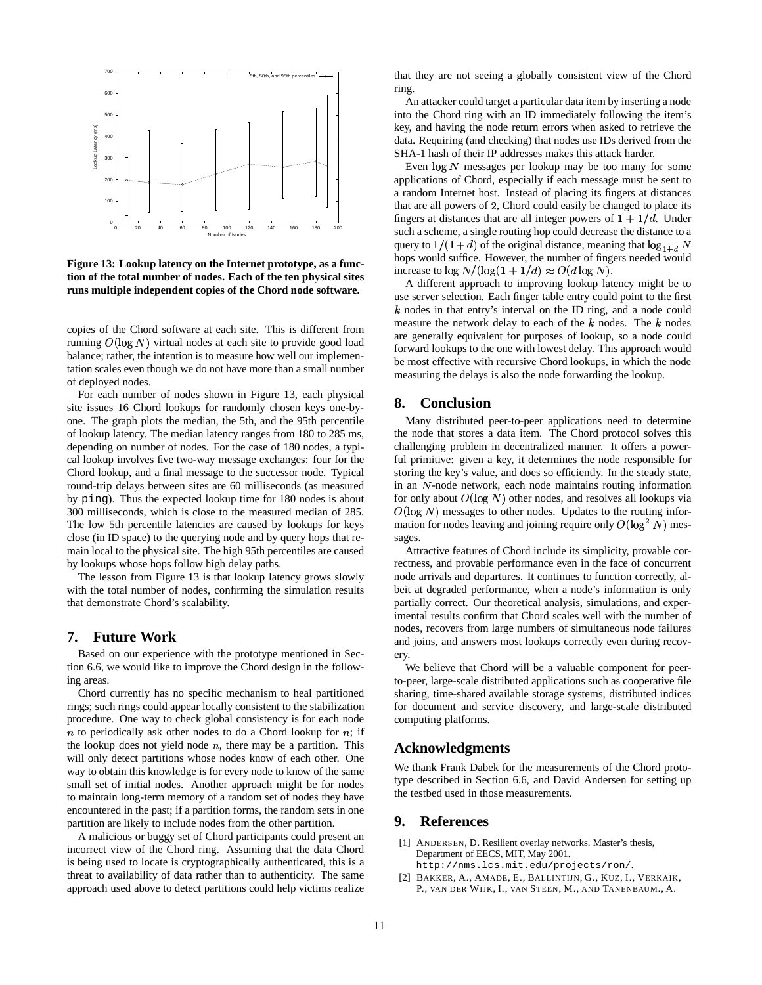

**Figure 13: Lookup latency on the Internet prototype, as a function of the total number of nodes. Each of the ten physical sites runs multiple independent copies of the Chord node software.**

copies of the Chord software at each site. This is different from running  $O(\log N)$  virtual nodes at each site to provide good load balance; rather, the intention is to measure how well our implementation scales even though we do not have more than a small number of deployed nodes.

For each number of nodes shown in Figure 13, each physical site issues 16 Chord lookups for randomly chosen keys one-byone. The graph plots the median, the 5th, and the 95th percentile of lookup latency. The median latency ranges from 180 to 285 ms, depending on number of nodes. For the case of 180 nodes, a typical lookup involves five two-way message exchanges: four for the Chord lookup, and a final message to the successor node. Typical round-trip delays between sites are 60 milliseconds (as measured by ping). Thus the expected lookup time for 180 nodes is about 300 milliseconds, which is close to the measured median of 285. The low 5th percentile latencies are caused by lookups for keys close (in ID space) to the querying node and by query hops that remain local to the physical site. The high 95th percentiles are caused by lookups whose hops follow high delay paths.

The lesson from Figure 13 is that lookup latency grows slowly with the total number of nodes, confirming the simulation results that demonstrate Chord's scalability.

# **7. Future Work**

Based on our experience with the prototype mentioned in Section 6.6, we would like to improve the Chord design in the following areas.

Chord currently has no specific mechanism to heal partitioned rings; such rings could appear locally consistent to the stabilization procedure. One way to check global consistency is for each node  $n$  to periodically ask other nodes to do a Chord lookup for  $n$ ; if the lookup does not yield node  $n$ , there may be a partition. This will only detect partitions whose nodes know of each other. One way to obtain this knowledge is for every node to know of the same small set of initial nodes. Another approach might be for nodes to maintain long-term memory of a random set of nodes they have encountered in the past; if a partition forms, the random sets in one partition are likely to include nodes from the other partition.

A malicious or buggy set of Chord participants could present an incorrect view of the Chord ring. Assuming that the data Chord is being used to locate is cryptographically authenticated, this is a threat to availability of data rather than to authenticity. The same approach used above to detect partitions could help victims realize

that they are not seeing a globally consistent view of the Chord ring.

An attacker could target a particular data item by inserting a node into the Chord ring with an ID immediately following the item's key, and having the node return errors when asked to retrieve the data. Requiring (and checking) that nodes use IDs derived from the SHA-1 hash of their IP addresses makes this attack harder.

Even  $log N$  messages per lookup may be too many for some applications of Chord, especially if each message must be sent to a random Internet host. Instead of placing its fingers at distances that are all powers of 2, Chord could easily be changed to place its fingers at distances that are all integer powers of  $1 + 1/d$ . Under such a scheme, a single routing hop could decrease the distance to a query to  $1/(1+d)$  of the original distance, meaning that  $\log_{1+d} N$ hops would suffice. However, the number of fingers needed would increase to  $\log N/(\log(1+1/d) \approx O(d \log N))$ .

A different approach to improving lookup latency might be to use server selection. Each finger table entry could point to the first  $k$  nodes in that entry's interval on the ID ring, and a node could measure the network delay to each of the  $k$  nodes. The  $k$  nodes are generally equivalent for purposes of lookup, so a node could forward lookups to the one with lowest delay. This approach would be most effective with recursive Chord lookups, in which the node measuring the delays is also the node forwarding the lookup.

#### **8. Conclusion**

Many distributed peer-to-peer applications need to determine the node that stores a data item. The Chord protocol solves this challenging problem in decentralized manner. It offers a powerful primitive: given a key, it determines the node responsible for storing the key's value, and does so efficiently. In the steady state, in an  $N$ -node network, each node maintains routing information for only about  $O(\log N)$  other nodes, and resolves all lookups via  $O(\log N)$  messages to other nodes. Updates to the routing information for nodes leaving and joining require only  $O(\log^2 N)$  messages.

Attractive features of Chord include its simplicity, provable correctness, and provable performance even in the face of concurrent node arrivals and departures. It continues to function correctly, albeit at degraded performance, when a node's information is only partially correct. Our theoretical analysis, simulations, and experimental results confirm that Chord scales well with the number of nodes, recovers from large numbers of simultaneous node failures and joins, and answers most lookups correctly even during recovery.

We believe that Chord will be a valuable component for peerto-peer, large-scale distributed applications such as cooperative file sharing, time-shared available storage systems, distributed indices for document and service discovery, and large-scale distributed computing platforms.

# **Acknowledgments**

We thank Frank Dabek for the measurements of the Chord prototype described in Section 6.6, and David Andersen for setting up the testbed used in those measurements.

#### **9. References**

- [1] ANDERSEN, D. Resilient overlay networks. Master's thesis, Department of EECS, MIT, May 2001. http://nms.lcs.mit.edu/projects/ron/.
- [2] BAKKER, A., AMADE, E., BALLINTIJN, G., KUZ, I., VERKAIK, P., VAN DER WIJK, I., VAN STEEN, M., AND TANENBAUM., A.